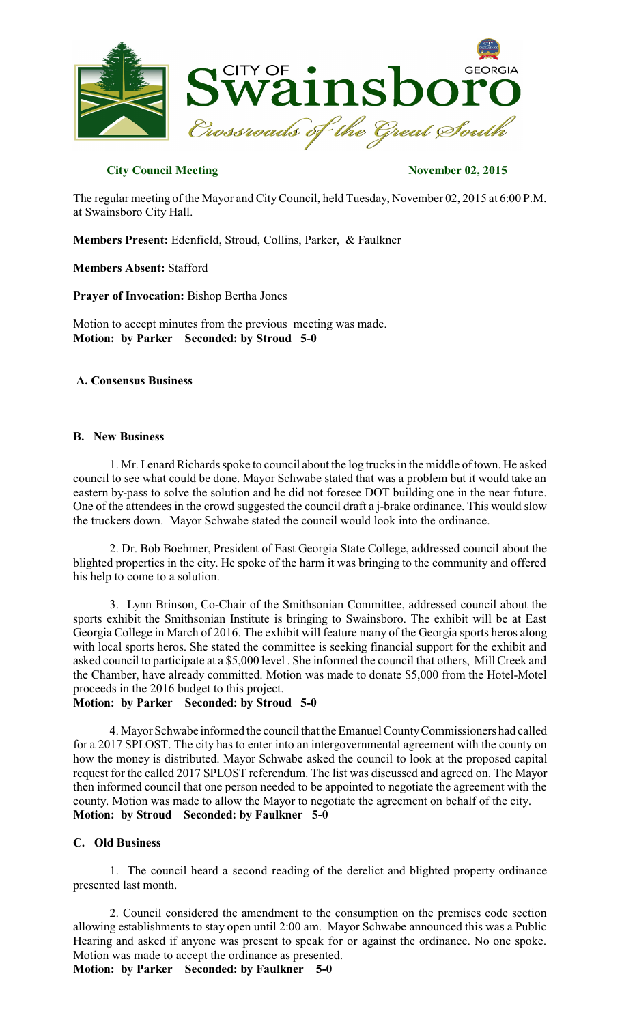

# **City Council Meeting November 02, 2015**

The regular meeting of the Mayor and CityCouncil, held Tuesday, November 02, 2015 at 6:00 P.M. at Swainsboro City Hall.

**Members Present:** Edenfield, Stroud, Collins, Parker, & Faulkner

**Members Absent:** Stafford

**Prayer of Invocation:** Bishop Bertha Jones

Motion to accept minutes from the previous meeting was made. **Motion: by Parker Seconded: by Stroud 5-0** 

### **A. Consensus Business**

### **B. New Business**

1. Mr. Lenard Richards spoke to council about the log trucks in the middle of town. He asked council to see what could be done. Mayor Schwabe stated that was a problem but it would take an eastern by-pass to solve the solution and he did not foresee DOT building one in the near future. One of the attendees in the crowd suggested the council draft a j-brake ordinance. This would slow the truckers down. Mayor Schwabe stated the council would look into the ordinance.

2. Dr. Bob Boehmer, President of East Georgia State College, addressed council about the blighted properties in the city. He spoke of the harm it was bringing to the community and offered his help to come to a solution.

3. Lynn Brinson, Co-Chair of the Smithsonian Committee, addressed council about the sports exhibit the Smithsonian Institute is bringing to Swainsboro. The exhibit will be at East Georgia College in March of 2016. The exhibit will feature many of the Georgia sports heros along with local sports heros. She stated the committee is seeking financial support for the exhibit and asked council to participate at a \$5,000 level . She informed the council that others, Mill Creek and the Chamber, have already committed. Motion was made to donate \$5,000 from the Hotel-Motel proceeds in the 2016 budget to this project.

**Motion: by Parker Seconded: by Stroud 5-0** 

4. Mayor Schwabe informed the council that the Emanuel CountyCommissioners had called for a 2017 SPLOST. The city has to enter into an intergovernmental agreement with the county on how the money is distributed. Mayor Schwabe asked the council to look at the proposed capital request for the called 2017 SPLOST referendum. The list was discussed and agreed on. The Mayor then informed council that one person needed to be appointed to negotiate the agreement with the county. Motion was made to allow the Mayor to negotiate the agreement on behalf of the city. **Motion: by Stroud Seconded: by Faulkner 5-0** 

### **C. Old Business**

1. The council heard a second reading of the derelict and blighted property ordinance presented last month.

2. Council considered the amendment to the consumption on the premises code section allowing establishments to stay open until 2:00 am. Mayor Schwabe announced this was a Public Hearing and asked if anyone was present to speak for or against the ordinance. No one spoke. Motion was made to accept the ordinance as presented.

**Motion: by Parker Seconded: by Faulkner 5-0**